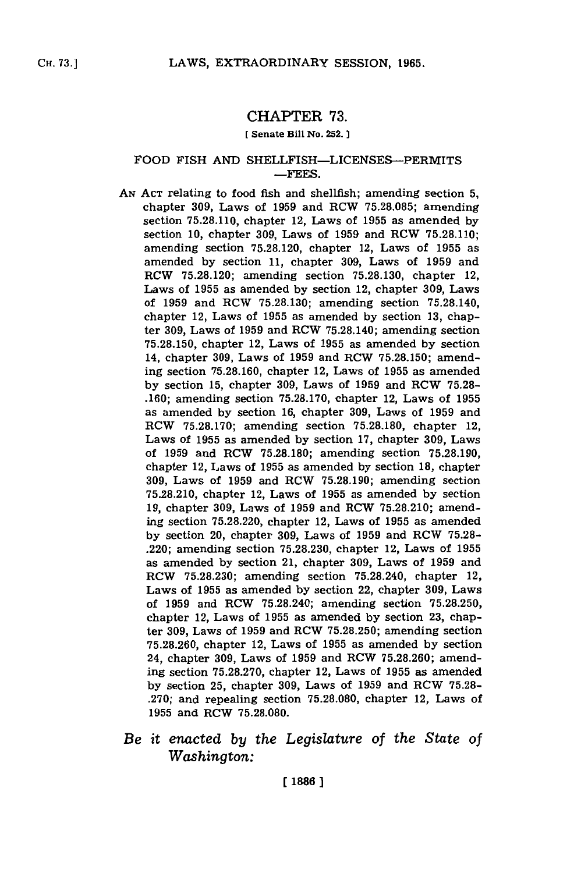## CHAPTER **73.**

## **[** Senate Bill No. **252.]**

## FOOD FISH **AND** SHELLFISH-LICENSES-PERMITS **-FEES.**

- **AN ACT** relating to food fish and shellfish; amending section **5,** chapter **309,** Laws of **1959** and RCW **75.28.085;** amending section **75.28.110,** chapter 12, Laws of **1955** as amended **by** section **10,** chapter **309,** Laws of **1959** and RCW **75.28.110;** amending section **75.28.120,** chapter 12, Laws of **1955** as amended **by** section **11,** chapter **309,** Laws of **1959** and RCW **75.28.120;** amending section **75.28.130,** chapter 12, Laws of **1955** as amended **by** section 12, chapter **309,** Laws of **1959** and ROW **75.28.130;** amending section **75.28.140,** chapter 12, Laws of **1955** as amended **by** section **13,** chapter **309,** Laws of **1959** and RCW **75.28.140;** amending section **75.28.150,** chapter 12, Laws of **1955** as amended **by** section 14, chapter **309,** Laws of **1959** and RCW **75.28.150;** amending section **75.28.160,** chapter 12, Laws of **1955** as amended **by** section **15,** chapter **309,** Laws of **1959** and ROW **75.28- .160;** amending section **75.28.170,** chapter 12, Laws of **1955** as amended **by** section **16,** chapter **309,** Laws of **1959** and RCW **75.28.170;** amending section **75.28.180,** chapter 12, Laws of **1955** as amended **by** section **17,** chapter **309,** Laws of **1959** and RCW **75.28.180;** amending section **75.28.190,** chapter 12, Laws of **1955** as amended **by** section **18,** chapter **309,** Laws of **1959** and RCW **75.28.190;** amending section **75.28.210,** chapter 12, Laws of **1955** as amended **by** section **19,** chapter **309,** Laws of **1959** and ROW **75.28.210;** amending section **75.28.220,** chapter 12, Laws of **1955** as amended **by** section 20, chapter **309,** Laws of **1959** and ROW **75.28-** .220; amending section **75.28.230,** chapter 12, Laws of **1955** as amended **by** section 21, chapter **309,** Laws of **1959** and ROW **75.28.230;** amending section 75.28.240, chapter 12, Laws of **1955** as amended **by** section 22, chapter **309,** Laws of **1959** and ROW **75.28.240;** amending section **75.28.250,** chapter 12, Laws of **1955** as amended **by** section **23,** chapter **309,** Laws of **1959** and ROW **75.28.250;** amending section **75.28.260,** chapter 12, Laws of **1955** as amended **by** section 24, chapter **309,** Laws of **1959** and ROW **75.28.260;** amending section **75.28.270,** chapter 12, Laws of **1955** as amended **by** section **25,** chapter **309,** Laws of **1959** and ROW **75.28- .270;** and repealing section **75.28.080,** chapter 12, Laws of **1955** and ROW **75.28.080.**
- *Be it enacted by the Legislature of the State of Washington:*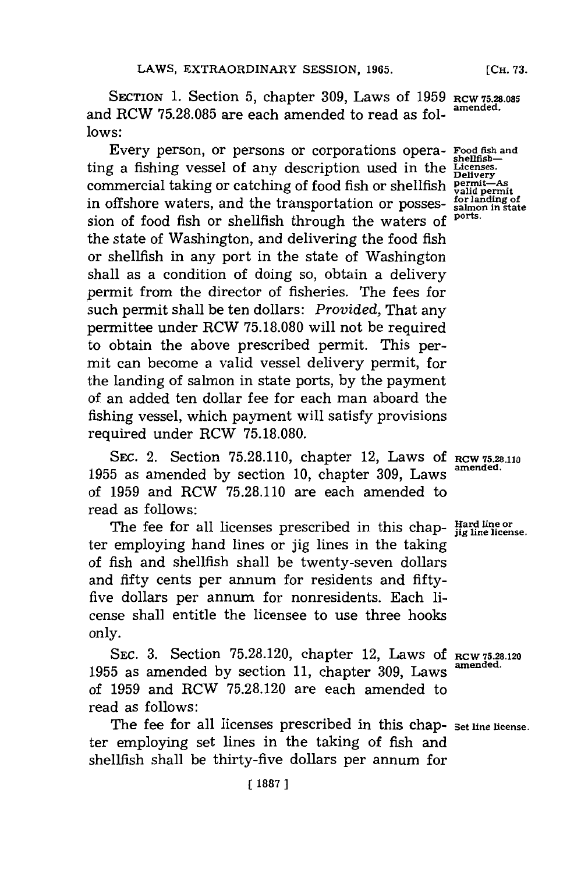SECTION **1.** Section **5,** chapter **309,** Laws of **1959 RCW 75.28.085** and RCW **75.28.085** are each amended to read as **fol- amended. lows:**

Every person, or persons or corporations opera-**Food fish and** ting a fishing vessel of any description used in the **shellfish-Licenses. Delivery** commercial taking or catching of food fish or shellfish **permit-As** commercial taking or catching of 1000 fish or shelling  $V_{\text{a}}^{\text{initial}}$  permit<br>in offshore waters, and the transportation or posses- *for landing of* sion of food fish or shellfish through the waters of the state of Washington, and delivering the food fish or shellfish in any port in the state of Washington shall as a condition of doing so, obtain a delivery permit from the director of fisheries. The fees for such permit shall be ten dollars: *Provided,* That any permittee under RCW **75.18.080** will not be required to obtain the above prescribed permit. This permit can become a valid vessel delivery permit, for the landing of salmon in state ports, **by** the payment of an added ten dollar fee for each man aboard the fishing vessel, which payment will satisfy provisions required under ROW **75.18.080.**

SEC. 2. Section 75.28.110, chapter 12, Laws of RCW 75.28.110 **<sup>1955</sup>**as amended **by** section **10,** chapter **309,** Laws **amended.** of **1959** and RCW **75.28.110** are each amended to read as follows:

The fee for all licenses prescribed in this chap- **Hard line or** *is line* license. ter employing hand lines or **jig** lines in the taking of fish and shellfish shall be twenty-seven dollars and fifty cents per annum. for residents and **fifty**five dollars per annum for nonresidents. Each icense shall entitle the licensee to use three hooks only.

**SEC. 3.** Section **75.28.120,** chapter 12, Laws **Of RCW 75.28.120 <sup>1955</sup>**as amended **by** section **11,** chapter **309,** Laws **amended.** of **1959** and ROW **75.28.120** are each amended to read as follows:

The fee for all licenses prescribed in this chap- **Set line license.** ter employing set lines in the taking of fish and shellfish shall be thirty-five dollars per annum for

*ports.*

[ **1887 ]**

**[CH. 73.**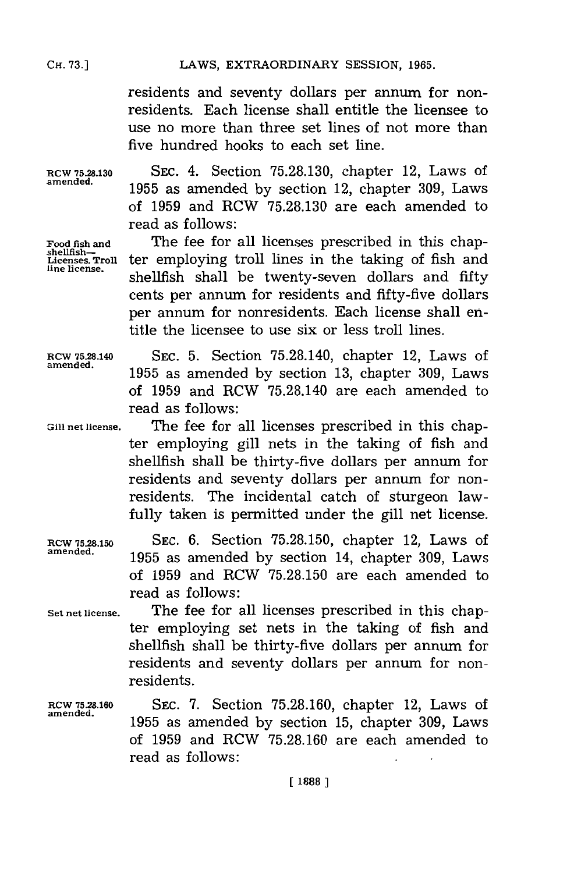**CH. 73.1**

residents and seventy dollars per annum for nonresidents. Each license shall entitle the licensee to use no more than three set lines of not more than five hundred hooks to each set line.

**RCW 75.28.130 SEC.** 4. Section **75.28.130,** chapter 12, Laws of amened. **1955** as amended **by** section 12, chapter **309,** Laws of **1959** and RCW **75.28.130** are each amended to read as follows:

Food fish and **The fee for all licenses prescribed in this chap-**<br>
shellfish-<br>
Licenses Troll ter employing troll lines in the taking of fish and Licenses. Troll ter employing troll lines in the taking of fish and shellfish shall be twenty-seven dollars and fifty cents per annum. for residents and fifty-five dollars per annum for nonresidents. Each license shall entitle the licensee to use six or less troll lines.

RCW **75.28.140 SEC. 5.** Section **75.28.140,** chapter 12, Laws of amened. **1955** as amended **by** section **13,** chapter **309,** Laws of **1959** and RCW **75.28.140** are each amended to read as follows:

**Gill net license.** The fee for all licenses prescribed in this chapter employing gill nets in the taking of fish and shellfish shall be thirty-five dollars per annum for residents and seventy dollars per annum for nonresidents. The incidental catch of sturgeon lawfully taken is permitted under the gill net license.

RCW **75.28.150** SEC. **6.** Section **75.28.150,** chapter 12, Laws of amened. **1955** as amended **by** section 14, chapter **309,** Laws of **1959** and RCW **75.28.150** are each amended to read as follows:

**Set net license.** The fee for all licenses prescribed in this chapter employing set nets in the taking of fish and shellfish shall be thirty-five dollars per annum for residents and seventy dollars per annum for nonresidents.

**RCW 75.28.160** SEC. **7.** Section **75.28.160,** chapter 12, Laws of amened. **1955** as amended **by** section **15,** chapter **309,** Laws of **1959** and ROW **75.28.160** are each amended to read as follows: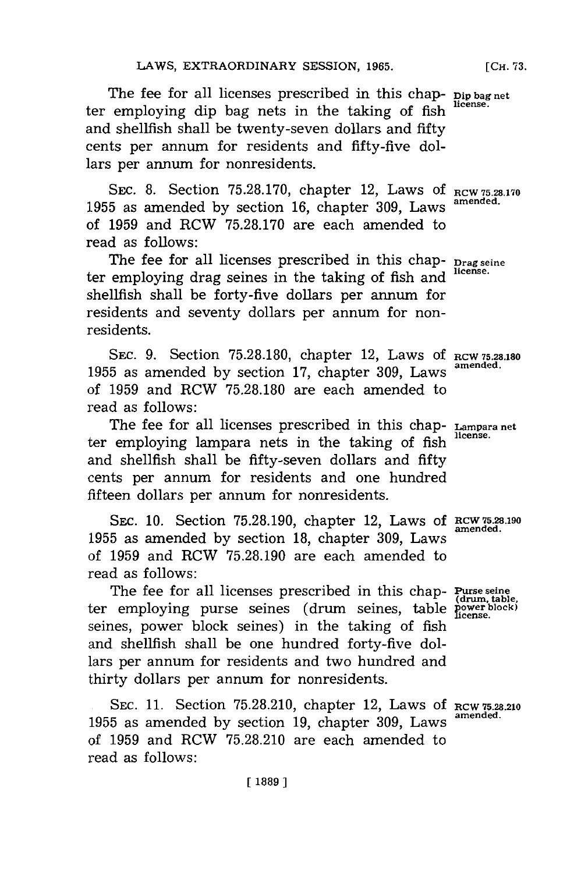The fee for all licenses prescribed in this chap- **Dip bag net** ter employing dip bag nets in the taking of fish and shellfish shall be twenty-seven dollars and fifty cents per annum for residents and fifty-five dollars per annum for nonresidents.

SEC. **8.** Section **75.28.170,** chapter 12, Laws **Of RCW 75.28.170** 1955 as amended by section 16, chapter 309, Laws of **1959** and RCW **75.28.170** are each amended to read as follows:

The fee for all licenses prescribed in this chap- **Drag seine** ter employing drag seines in the taking of fish and shellfish shall be forty-five dollars per annum. for residents and seventy dollars per annum for nonresidents.

SEC. 9. Section 75.28.180, chapter 12, Laws of RCW 75.28.180 **amended. <sup>1955</sup>**as amended **by** section **17,** chapter **309,** Laws of **1959** and RCW **75.28.180** are each amended to read as follows:

The fee for all licenses prescribed in this chap- **Lampara net** ter employing lampara nets in the taking of fish and shellfish shall be fifty-seven dollars and **fifty** cents per annum for residents and one hundred fifteen dollars per annum for nonresidents.

SEC. 10. Section 75.28.190, chapter 12, Laws of RCW 75.28.190 **1955** as amended **by** section **18,** chapter **309,** Laws of **1959** and RCW **75.28.190** are each amended to read as follows:

The fee for all licenses prescribed in this chap- Puse **se** ter employing purse seines (drum seines, table **power block** seines, power block seines) in the taking of fish and shellfish shall be one hundred forty-five dollars per annum for residents and two hundred and thirty dollars per annum for nonresidents.

**SEC. 11.** Section **75.28.210,** chapter 12, Laws **Of RCW752S.210 1955** as amended **by** section **19,** chapter **309,** Laws **amended.** of **1959** and RCW **75.28.210** are each amended to read as follows:

**[ 1889 ]**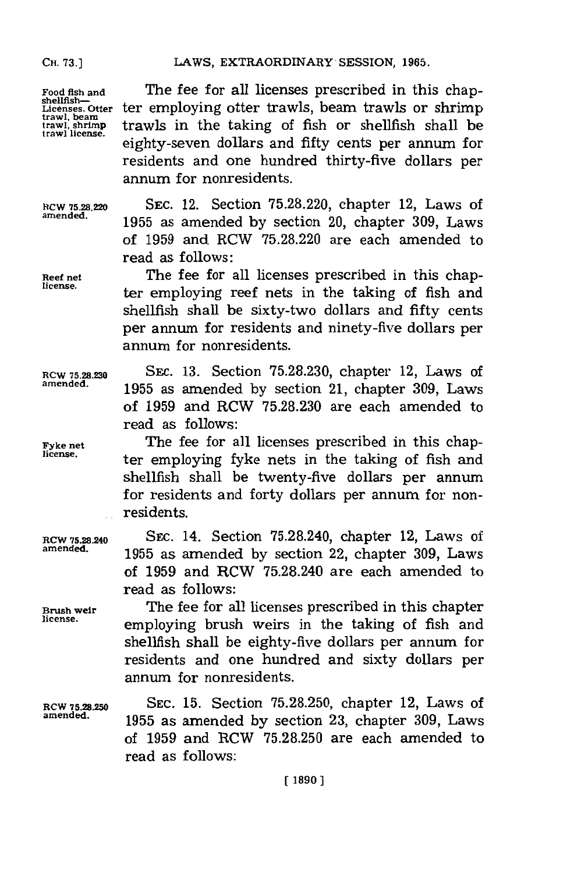LAWS, EXTRAORDINARY SESSION, 1965.

**Food fish and shellfish-Licenses. Otter trawl, beam trawl, shrimp trawl license.**

The fee for all licenses prescribed in this chapter employing otter trawls, beam trawls or shrimp trawls in the taking of fish or shellfish shall be eighty-seven dollars and fifty cents per annum for residents and one hundred thirty-five dollars per annum for nonresidents.

**RCW 75.28=20 SEC.** 12. Section **75.28.220,** chapter 12, Laws of **amended. 1955** as amended **by** section 20, chapter **309,** Laws of **1959** and RCW **75.28.220** are each amended to read as follows:

Reef net The fee for all licenses prescribed in this chapter employing reef nets in the taking of fish and shellfish shall be sixty-two dollars and fifty cents per annum. for residents and ninety-five dollars per annum for nonresidents.

**RCW 75.28.230 SEC. 13. Section 75.28.230, chapter 12, Laws of** amended **amended. 1955** as amended **by** section 21, chapter **309,** Laws of **1959** and RCW **75.28.230** are each amended to read as follows:

Fyke net **The fee for all licenses prescribed in this chap-**<br>license. ter employing fyke nets in the taking of fish and shellfish shall be twenty-five dollars per annum for residents and forty dollars per annum for nonresidents.

**RCW 75.28.240** SEC. 14. Section 75.28.240, chapter 12, Laws of amended. **amended. 1955** as amended **by** section 22, chapter **309,** Laws of **1959** and RCW **75.28.240** are each amended to read as follows:

**Brush weir** The fee for all licenses prescribed in this chapter **license.** employing brush weirs in the taking of fish and shellfish shall be eighty-five dollars per annum for residents and one hundred and sixty dollars per annum for nonresidents.

**amended. 1955** as amended **by** section **23,** chapter **309,** Laws of **1959** and RCW **75.28.250** are each amended to read as **follows: 15.** Section **75.28.250,** chapter 12, Laws of

**RCW 75.28.250**<br>amended.

**[1890]**